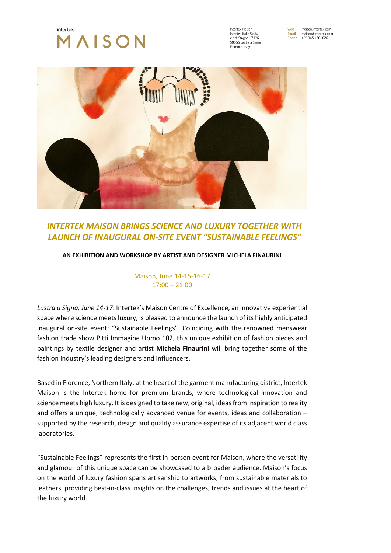

Intertek Maicon Intertek Italia S.p.A via di Stagno 17 F/G 50055 Lastra a Signa Florence, Italy

maison.intertek.com **Mah** web<br>Email maison@intertek.com Phone +39 345 1701626



# *INTERTEK MAISON BRINGS SCIENCE AND LUXURY TOGETHER WITH LAUNCH OF INAUGURAL ON-SITE EVENT "SUSTAINABLE FEELINGS"*

## **AN EXHIBITION AND WORKSHOP BY ARTIST AND DESIGNER MICHELA FINAURINI**

Maison, June 14-15-16-17  $17:00 - 21:00$ 

*Lastra a Signa, June 14-17*: Intertek's Maison Centre of Excellence, an innovative experiential space where science meets luxury, is pleased to announce the launch of its highly anticipated inaugural on-site event: "Sustainable Feelings". Coinciding with the renowned menswear fashion trade show Pitti Immagine Uomo 102, this unique exhibition of fashion pieces and paintings by textile designer and artist **Michela Finaurini** will bring together some of the fashion industry's leading designers and influencers.

Based in Florence, Northern Italy, at the heart of the garment manufacturing district, Intertek Maison is the Intertek home for premium brands, where technological innovation and science meets high luxury. It is designed to take new, original, ideas from inspiration to reality and offers a unique, technologically advanced venue for events, ideas and collaboration – supported by the research, design and quality assurance expertise of its adjacent world class laboratories.

"Sustainable Feelings" represents the first in-person event for Maison, where the versatility and glamour of this unique space can be showcased to a broader audience. Maison's focus on the world of luxury fashion spans artisanship to artworks; from sustainable materials to leathers, providing best-in-class insights on the challenges, trends and issues at the heart of the luxury world.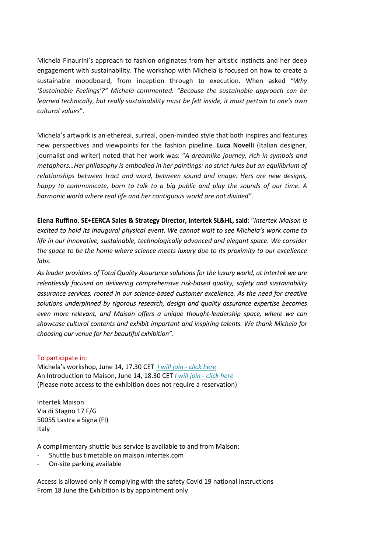Michela Finaurini's approach to fashion originates from her artistic instincts and her deep engagement with sustainability. The workshop with Michela is focused on how to create a sustainable moodboard, from inception through to execution. When asked "*Why 'Sustainable Feelings'?" Michela commented: "Because the sustainable approach can be learned technically, but really sustainability must be felt inside, it must pertain to one's own cultural values*".

Michela's artwork is an ethereal, surreal, open-minded style that both inspires and features new perspectives and viewpoints for the fashion pipeline. **Luca Novelli** (Italian designer, journalist and writer) noted that her work was: "*A dreamlike journey, rich in symbols and metaphors…Her philosophy is embodied in her paintings: no strict rules but an equilibrium of relationships between tract and word, between sound and image. Hers are new designs, happy to communicate, born to talk to a big public and play the sounds of our time. A harmonic world where real life and her contiguous world are not divided"*.

**Elena Ruffino**, **SE+EERCA Sales & Strategy Director, Intertek SL&HL, said**: "*Intertek Maison is excited to hold its inaugural physical event. We cannot wait to see Michela's work come to life in our innovative, sustainable, technologically advanced and elegant space. We consider the space to be the home where science meets luxury due to its proximity to our excellence labs.*

*As leader providers of Total Quality Assurance solutions for the luxury world, at Intertek we are relentlessly focused on delivering comprehensive risk-based quality, safety and sustainability assurance services, rooted in our science-based customer excellence. As the need for creative solutions underpinned by rigorous research, design and quality assurance expertise becomes even more relevant, and Maison offers a unique thought-leadership space, where we can showcase cultural contents and exhibit important and inspiring talents. We thank Michela for choosing our venue for her beautiful exhibition"*.

#### To participate in:

Michela's workshop, June 14, 17.30 CET *[I will join -](mailto:maison@intertek.com?subject=Workshop) click here* An Introduction to Maison, June 14, 18.30 CET *[I will join -](mailto:maison@intertek.com?subject=Inauguration) click here* (Please note access to the exhibition does not require a reservation)

Intertek Maison Via di Stagno 17 F/G 50055 Lastra a Signa (FI) Italy

A complimentary shuttle bus service is available to and from Maison:

- Shuttle bus timetable on maison.intertek.com
- On-site parking available

Access is allowed only if complying with the safety Covid 19 national instructions From 18 June the Exhibition is by appointment only